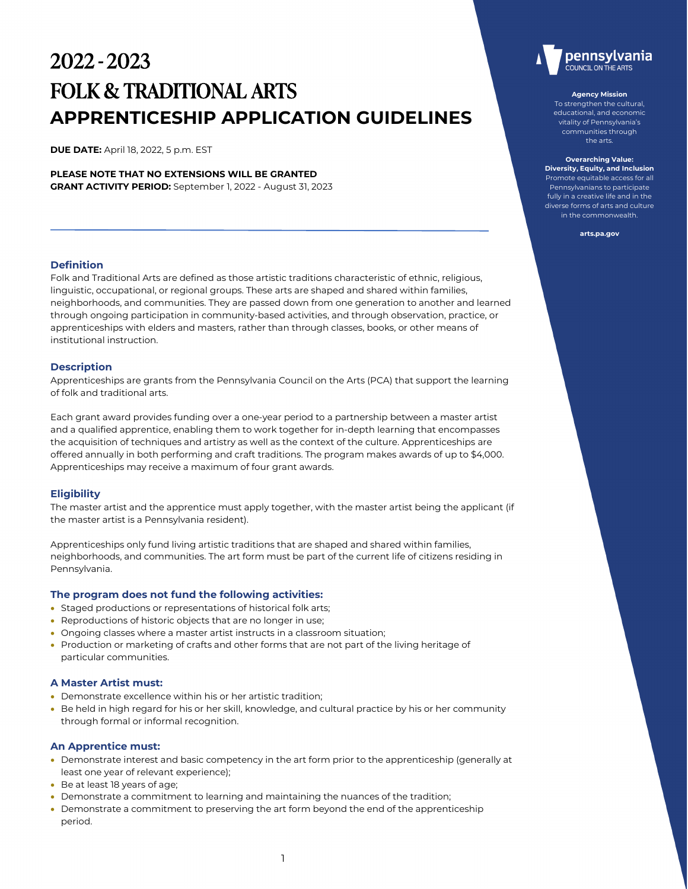# 2022 - 2023 FOLK & TRADITIONAL ARTS **APPRENTICESHIP APPLICATION GUIDELINES**

**DUE DATE:** April 18, 2022, 5 p.m. EST

**PLEASE NOTE THAT NO EXTENSIONS WILL BE GRANTED GRANT ACTIVITY PERIOD:** September 1, 2022 - August 31, 2023

## **Definition**

Folk and Traditional Arts are defined as those artistic traditions characteristic of ethnic, religious, linguistic, occupational, or regional groups. These arts are shaped and shared within families, neighborhoods, and communities. They are passed down from one generation to another and learned through ongoing participation in community-based activities, and through observation, practice, or apprenticeships with elders and masters, rather than through classes, books, or other means of institutional instruction.

## **Description**

Apprenticeships are grants from the Pennsylvania Council on the Arts (PCA) that support the learning of folk and traditional arts.

Each grant award provides funding over a one-year period to a partnership between a master artist and a qualified apprentice, enabling them to work together for in-depth learning that encompasses the acquisition of techniques and artistry as well as the context of the culture. Apprenticeships are offered annually in both performing and craft traditions. The program makes awards of up to \$4,000. Apprenticeships may receive a maximum of four grant awards.

## **Eligibility**

The master artist and the apprentice must apply together, with the master artist being the applicant (if the master artist is a Pennsylvania resident).

Apprenticeships only fund living artistic traditions that are shaped and shared within families, neighborhoods, and communities. The art form must be part of the current life of citizens residing in Pennsylvania.

## **The program does not fund the following activities:**

- Staged productions or representations of historical folk arts;
- Reproductions of historic objects that are no longer in use;
- Ongoing classes where a master artist instructs in a classroom situation;
- Production or marketing of crafts and other forms that are not part of the living heritage of particular communities.

## **A Master Artist must:**

- Demonstrate excellence within his or her artistic tradition;
- Be held in high regard for his or her skill, knowledge, and cultural practice by his or her community through formal or informal recognition.

## **An Apprentice must:**

- Demonstrate interest and basic competency in the art form prior to the apprenticeship (generally at least one year of relevant experience);
- Be at least 18 years of age;
- Demonstrate a commitment to learning and maintaining the nuances of the tradition;
- Demonstrate a commitment to preserving the art form beyond the end of the apprenticeship period.



#### **Agency Mission**

To strengthen the cultural, educational, and economic vitality of Pennsylvania's communities through the arts.

**Overarching Value: Diversity, Equity, and Inclusion** Promote equitable access for all Pennsylvanians to participate fully in a creative life and in the diverse forms of arts and culture in the commonwealth.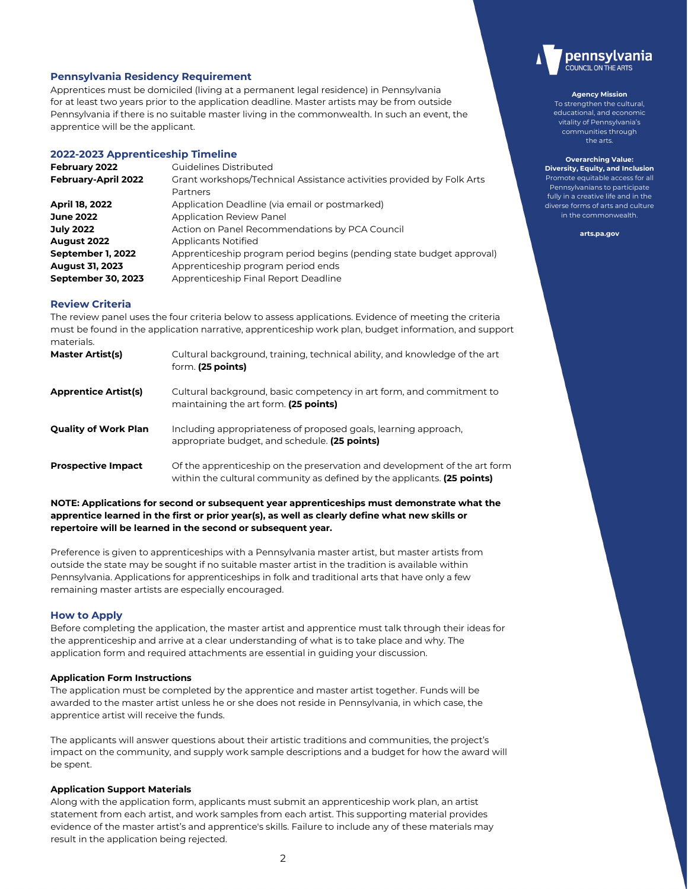## **Pennsylvania Residency Requirement**

Apprentices must be domiciled (living at a permanent legal residence) in Pennsylvania for at least two years prior to the application deadline. Master artists may be from outside Pennsylvania if there is no suitable master living in the commonwealth. In such an event, the apprentice will be the applicant.

## **2022-2023 Apprenticeship Timeline**

| February 2022             | Guidelines Distributed                                                |
|---------------------------|-----------------------------------------------------------------------|
| February-April 2022       | Grant workshops/Technical Assistance activities provided by Folk Arts |
|                           | Partners                                                              |
| April 18, 2022            | Application Deadline (via email or postmarked)                        |
| <b>June 2022</b>          | <b>Application Review Panel</b>                                       |
| <b>July 2022</b>          | Action on Panel Recommendations by PCA Council                        |
| August 2022               | <b>Applicants Notified</b>                                            |
| September 1, 2022         | Apprenticeship program period begins (pending state budget approval)  |
| <b>August 31, 2023</b>    | Apprenticeship program period ends                                    |
| <b>September 30, 2023</b> | Apprenticeship Final Report Deadline                                  |

## **Review Criteria**

The review panel uses the four criteria below to assess applications. Evidence of meeting the criteria must be found in the application narrative, apprenticeship work plan, budget information, and support materials.

| <b>Master Artist(s)</b>   | Cultural background, training, technical ability, and knowledge of the art<br>form. (25 points)                                                      |
|---------------------------|------------------------------------------------------------------------------------------------------------------------------------------------------|
| Apprentice Artist(s)      | Cultural background, basic competency in art form, and commitment to<br>maintaining the art form. (25 points)                                        |
| Quality of Work Plan      | Including appropriateness of proposed goals, learning approach,<br>appropriate budget, and schedule. (25 points)                                     |
| <b>Prospective Impact</b> | Of the apprenticeship on the preservation and development of the art form<br>within the cultural community as defined by the applicants. (25 points) |

**NOTE: Applications for second or subsequent year apprenticeships must demonstrate what the apprentice learned in the first or prior year(s), as well as clearly define what new skills or repertoire will be learned in the second or subsequent year.**

Preference is given to apprenticeships with a Pennsylvania master artist, but master artists from outside the state may be sought if no suitable master artist in the tradition is available within Pennsylvania. Applications for apprenticeships in folk and traditional arts that have only a few remaining master artists are especially encouraged.

## **How to Apply**

Before completing the application, the master artist and apprentice must talk through their ideas for the apprenticeship and arrive at a clear understanding of what is to take place and why. The application form and required attachments are essential in guiding your discussion.

## **Application Form Instructions**

The application must be completed by the apprentice and master artist together. Funds will be awarded to the master artist unless he or she does not reside in Pennsylvania, in which case, the apprentice artist will receive the funds.

The applicants will answer questions about their artistic traditions and communities, the project's impact on the community, and supply work sample descriptions and a budget for how the award will be spent.

## **Application Support Materials**

Along with the application form, applicants must submit an apprenticeship work plan, an artist statement from each artist, and work samples from each artist. This supporting material provides evidence of the master artist's and apprentice's skills. Failure to include any of these materials may result in the application being rejected.



#### **Agency Mission**

To strengthen the cultural, educational, and economic vitality of Pennsylvania's communities through the arts.

**Overarching Value: Diversity, Equity, and Inclusion** Promote equitable access for all Pennsylvanians to participate fully in a creative life and in the diverse forms of arts and culture in the commonwealth.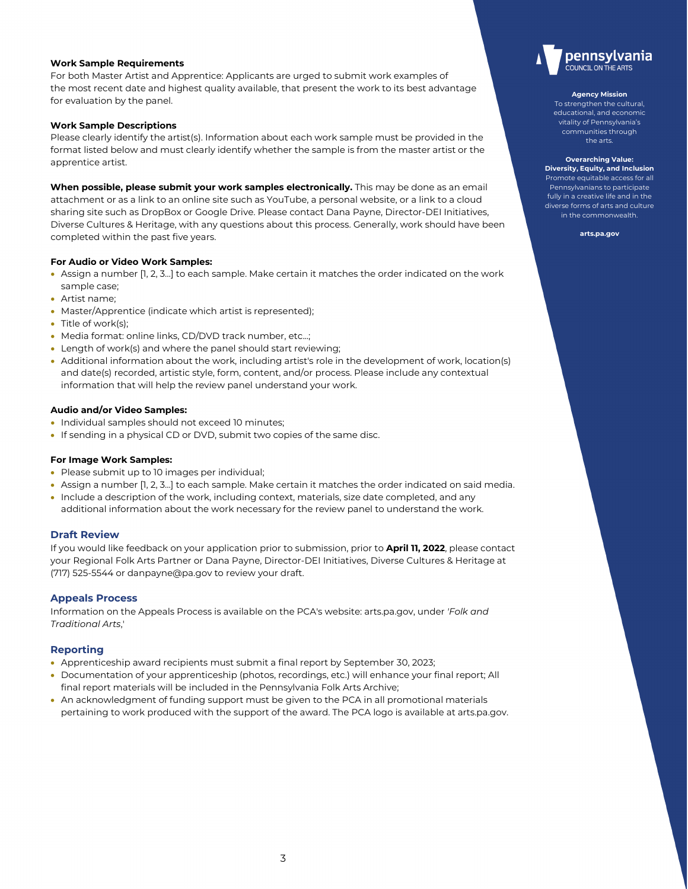## **Work Sample Requirements**

For both Master Artist and Apprentice: Applicants are urged to submit work examples of the most recent date and highest quality available, that present the work to its best advantage for evaluation by the panel.

## **Work Sample Descriptions**

Please clearly identify the artist(s). Information about each work sample must be provided in the format listed below and must clearly identify whether the sample is from the master artist or the apprentice artist.

**When possible, please submit your work samples electronically.** This may be done as an email attachment or as a link to an online site such as YouTube, a personal website, or a link to a cloud sharing site such as DropBox or Google Drive. Please contact Dana Payne, Director-DEI Initiatives, Diverse Cultures & Heritage, with any questions about this process. Generally, work should have been completed within the past five years.

## **For Audio or Video Work Samples:**

- Assign a number [1, 2, 3...] to each sample. Make certain it matches the order indicated on the work sample case;
- Artist name;
- Master/Apprentice (indicate which artist is represented);
- Title of work(s):
- Media format: online links, CD/DVD track number, etc...;
- Length of work(s) and where the panel should start reviewing;
- Additional information about the work, including artist's role in the development of work, location(s) and date(s) recorded, artistic style, form, content, and/or process. Please include any contextual information that will help the review panel understand your work.

## **Audio and/or Video Samples:**

- Individual samples should not exceed 10 minutes;
- If sending in a physical CD or DVD, submit two copies of the same disc.

## **For Image Work Samples:**

- Please submit up to 10 images per individual;
- Assign a number [1, 2, 3...] to each sample. Make certain it matches the order indicated on said media.
- Include a description of the work, including context, materials, size date completed, and any additional information about the work necessary for the review panel to understand the work.

## **Draft Review**

If you would like feedback on your application prior to submission, prior to **April 11, 2022**, please contact your Regional Folk Arts Partner or Dana Payne, Director-DEI Initiatives, Diverse Cultures & Heritage at (717) 525-5544 or danpayne@pa.gov to review your draft.

## **Appeals Process**

Information on the Appeals Process is available on the PCA's website: arts.pa.gov, under *'Folk and Traditional Arts*,'

## **Reporting**

- Apprenticeship award recipients must submit a final report by September 30, 2023;
- Documentation of your apprenticeship (photos, recordings, etc.) [will enhance your f](http://www.arts.pa.gov/)inal report; All final report materials will be included in the Pennsylvania Folk Arts Archive;
- An acknowledgment of funding support must be given to the PCA in all promotional materials pertaining to work produced with the support of the award. The PCA logo is available at arts.pa.gov.



#### **Agency Mission**

To strengthen the cultural, educational, and economic vitality of Pennsylvania's communities through the arts.

**Overarching Value: Diversity, Equity, and Inclusion** Promote equitable access for all Pennsylvanians to participate fully in a creative life and in the diverse forms of arts and culture in the commonwealth.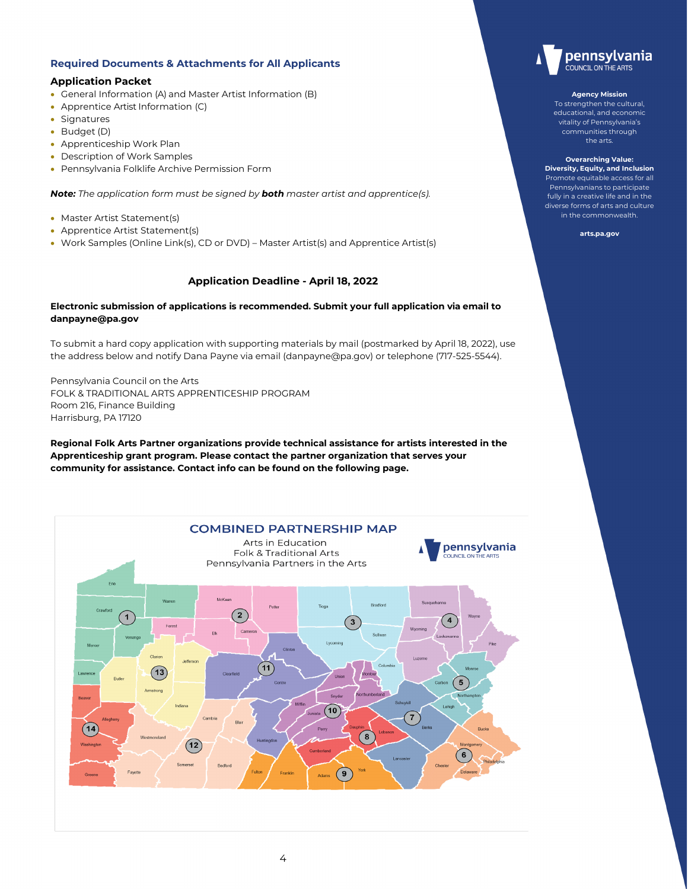# **Required Documents & Attachments for All Applicants**

# **Application Packet**

- General Information (A) and Master Artist Information (B)
- Apprentice Artist Information (C)
- Signatures
- Budget (D)
- Apprenticeship Work Plan
- Description of Work Samples
- Pennsylvania Folklife Archive Permission Form

*Note: The application form must be signed by both master artist and apprentice(s).*

- Master Artist Statement(s)
- Apprentice Artist Statement(s)
- Work Samples (Online Link(s), CD or DVD) Master Artist(s) and Apprentice Artist(s)

# **Application Deadline - April 18, 2022**

## **Electronic submission of applications [is recommended. Su](mailto:PAFolkArts@gmail.com)bmit your full application via email to danpayne@pa.gov**

To submit a hard copy application with supporting materials by mail (postmarked by April 18, 2022), use the address below and notify Dana Payne via email (danpayne@pa.gov) or telephone (717-525-5544).

Pennsylvania Council on the Arts FOLK & TRADITIONAL ARTS APPRENTICESHIP PROGRAM Room 216, Finance Building Harrisburg, PA 17120

**Regional Folk Arts Partner organizations provide technical assistance for artists interested in the Apprenticeship grant program. Please contact the partner organization that serves your community for assistance. Contact info can be found on the following page.**





#### **Agency Mission**

To strengthen the cultural, educational, and economic vitality of Pennsylvania's communities through the arts.

**Overarching Value: Diversity, Equity, and Inclusion** Promote equitable access for all Pennsylvanians to participate fully in a creative life and in the diverse forms of arts and culture in the commonwealth.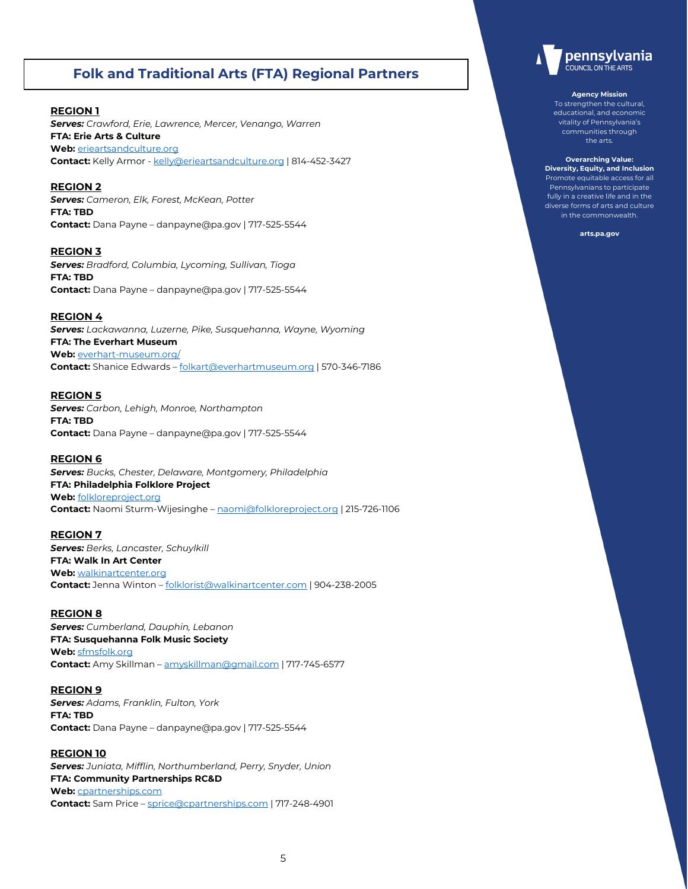# **Folk and Traditional Arts (FTA) Regional Partners**

# **REGION 1**

*Serves: Crawford, Erie, Lawrence, Mercer, Venango, Warren* **FTA: Erie Arts & Culture Web:** [erieartsandculture.org](http://www.erieartsandculture.org/) Contact: Kelly Armor - [kelly@erieartsandculture.org](mailto:kelly@erieartsandculture.org) | 814-452-3427

## **REGION 2**

*Serves: Cameron, Elk, Forest, McKean, Potter*  **FTA: TBD Contact:** Dana Payne – danpayne@pa.gov | 717-525-5544

**REGION 3** *Serves: Bradford, Columbia, Lycoming, Sullivan, Tioga* **FTA: TBD Contact:** Dana Payne – danpayne@pa.gov | 717-525-5544

## **REGION 4**

*Serves: Lackawanna, Luzerne, Pike, Susquehanna, Wayne, Wyoming* **FTA: The Everhart Museum Web:** [everhart-museum.org/](https://everhart-museum.org/) **Contact:** Shanice Edwards – [folkart@everhartmuseum.org](mailto:folkart@everhartmuseum.org) | 570-346-7186

## **REGION 5**

*Serves: Carbon, Lehigh, Monroe, Northampton* **FTA: TBD Contact:** Dana Payne – danpayne@pa.gov | 717-525-5544

## **REGION 6**

*Serves: Bucks, Chester, Delaware, Montgomery, Philadelphia* **FTA: Philadelphia Folklore Project Web:** [folkloreproject.org](http://www.folkloreproject.org/) **Contact:** Naomi Sturm-Wijesinghe – [naomi@folkloreproject.org](mailto:naomi@folkloreproject.org) | 215-726-1106

## **REGION 7**

*Serves: Berks, Lancaster, Schuylkill*  **FTA: Walk In Art Center Web:** [walkinartcenter.org](http://www.walkinartcenter.org/) **Contact:** Jenna Winton – [folklorist@walkinartcenter.com](mailto:folklorist@walkinartcenter.com) | 904-238-2005

## **REGION 8**

*Serves: Cumberland, Dauphin, Lebanon*  **FTA: Susquehanna Folk Music Society Web:** [sfmsfolk.org](http://www.sfmsfolk.org/) **Contact:** Amy Skillman – [amyskillman@gmail.com](mailto:amyskillman@gmail.com) | 717-745-6577

## **REGION 9**

*Serves: Adams, Franklin, Fulton, York*  **FTA: TBD Contact:** Dana Payne – danpayne@pa.gov | 717-525-5544

## **REGION 10**

*Serves: Juniata, Mifflin, Northumberland, Perry, Snyder, Union*  **FTA: Community Partnerships RC&D Web:** [cpartnerships.com](http://www.cpartnerships.com/)  **Contact:** Sam Price – [sprice@cpartnerships.com](mailto:sprice@cpartnerships.com) | 717-248-4901



#### **Agency Mission**

To strengthen the cultural, educational, and economic vitality of Pennsylvania's communities through the arts.

**Overarching Value: Diversity, Equity, and Inclusion** Promote equitable access for all Pennsylvanians to participate fully in a creative life and in the diverse forms of arts and culture in the commonwealth.